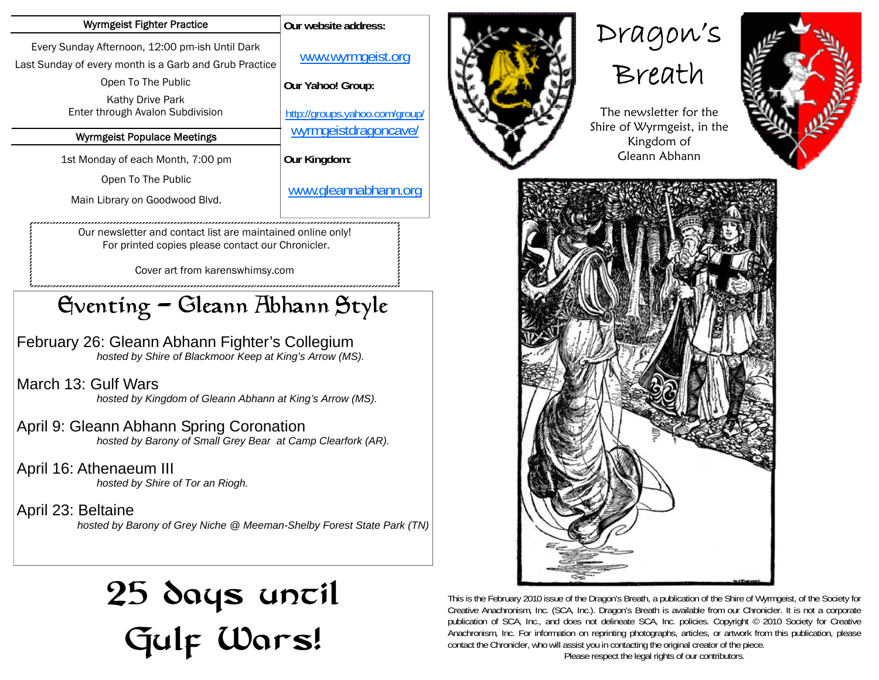| Wyrmgeist Fighter Practice                                                                                                      | Our website address:                                   |
|---------------------------------------------------------------------------------------------------------------------------------|--------------------------------------------------------|
| Every Sunday Afternoon, 12:00 pm-ish Until Dark<br>Last Sunday of every month is a Garb and Grub Practice<br>Open To The Public | www.wyrmgeist.org<br>Our Yahoo! Group:                 |
| <b>Kathy Drive Park</b><br>Enter through Avalon Subdivision                                                                     | http://groups.yahoo.com/group/<br>wyrmgeistdragoncave/ |
| <b>Wyrmgeist Populace Meetings</b>                                                                                              |                                                        |
| 1st Monday of each Month, 7:00 pm                                                                                               | Our Kingdom:                                           |
| Open To The Public                                                                                                              |                                                        |
| Main Library on Goodwood Blvd.                                                                                                  | www.gleannabhann.org                                   |
| Our newsletter and contact list are maintained online only!<br>For printed copies please contact our Chronicler.                |                                                        |

Cover art from karenswhimsy.com

## Eventing - Gleann Abhann Style

February 26: Gleann Abhann Fighter's Collegium  *hosted by Shire of Blackmoor Keep at King's Arrow (MS).* 

March 13: Gulf Wars  *hosted by Kingdom of Gleann Abhann at King's Arrow (MS).* 

April 9: Gleann Abhann Spring Coronation  *hosted by Barony of Small Grey Bear at Camp Clearfork (AR).* 

April 16: Athenaeum III  *hosted by Shire of Tor an Riogh.* 

April 23: Beltaine  *hosted by Barony of Grey Niche @ Meeman-Shelby Forest State Park (TN)* 

# 25 days uncil Gulf Wars!



Dragon's





Gleann Abhann



This is the February 2010 issue of the Dragon's Breath, a publication of the Shire of Wyrmgeist, of the Society for Creative Anachronism, Inc. (SCA, Inc.). Dragon's Breath is available from our Chronicler. It is not a corporate publication of SCA, Inc., and does not delineate SCA, Inc. policies. Copyright © 2010 Society for Creative Anachronism, Inc. For information on reprinting photographs, articles, or artwork from this publication, please contact the Chronicler, who will assist you in contacting the original creator of the piece.

Please respect the legal rights of our contributors.